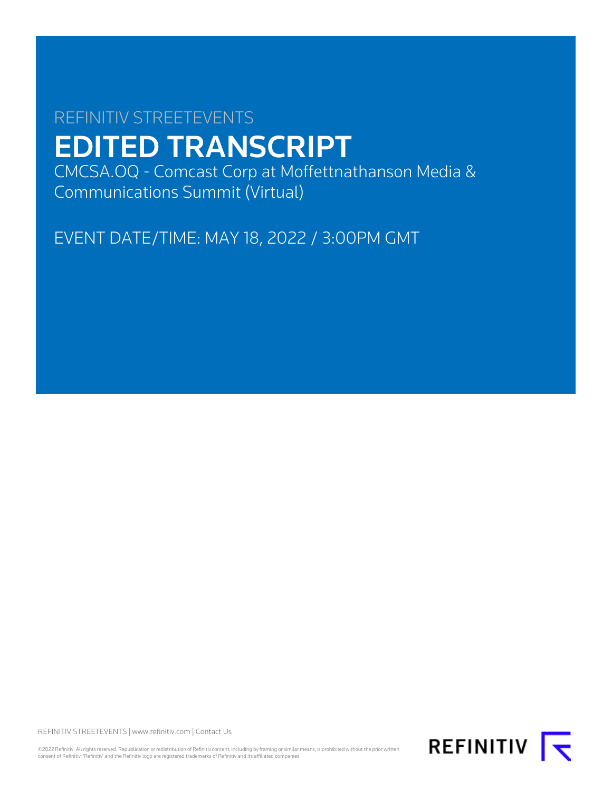# REFINITIV STREETEVENTS EDITED TRANSCRIPT

CMCSA.OQ - Comcast Corp at Moffettnathanson Media & Communications Summit (Virtual)

EVENT DATE/TIME: MAY 18, 2022 / 3:00PM GMT

REFINITIV STREETEVENTS | [www.refinitiv.com](https://www.refinitiv.com/) | [Contact Us](https://www.refinitiv.com/en/contact-us)

©2022 Refinitiv. All rights reserved. Republication or redistribution of Refinitiv content, including by framing or similar means, is prohibited without the prior written<br>consent of Refinitiv. 'Refinitiv' and the Refinitiv

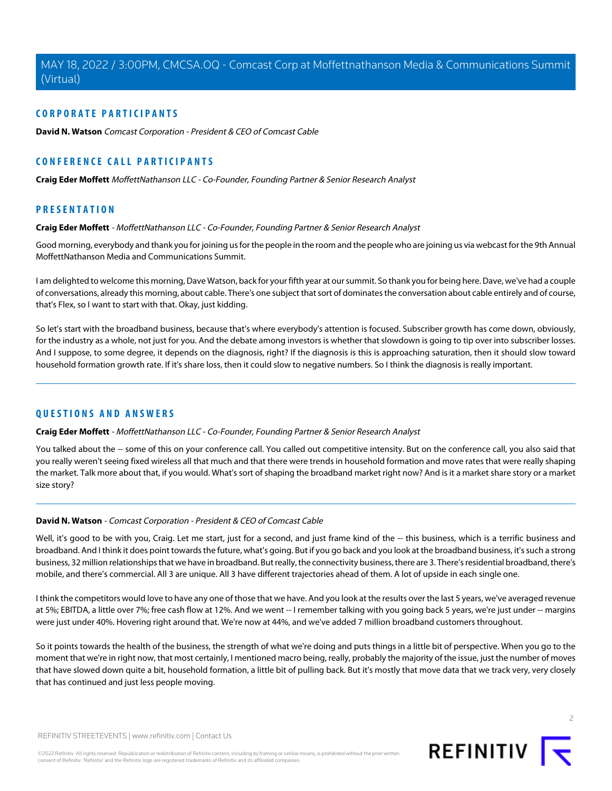# **CORPORATE PARTICIPANTS**

**[David N. Watson](#page-1-0)** Comcast Corporation - President & CEO of Comcast Cable

# **CONFERENCE CALL PARTICIPANTS**

**[Craig Eder Moffett](#page-1-1)** MoffettNathanson LLC - Co-Founder, Founding Partner & Senior Research Analyst

# <span id="page-1-1"></span>**PRESENTATION**

#### **Craig Eder Moffett** - MoffettNathanson LLC - Co-Founder, Founding Partner & Senior Research Analyst

Good morning, everybody and thank you for joining us for the people in the room and the people who are joining us via webcast for the 9th Annual MoffettNathanson Media and Communications Summit.

I am delighted to welcome this morning, Dave Watson, back for your fifth year at our summit. So thank you for being here. Dave, we've had a couple of conversations, already this morning, about cable. There's one subject that sort of dominates the conversation about cable entirely and of course, that's Flex, so I want to start with that. Okay, just kidding.

So let's start with the broadband business, because that's where everybody's attention is focused. Subscriber growth has come down, obviously, for the industry as a whole, not just for you. And the debate among investors is whether that slowdown is going to tip over into subscriber losses. And I suppose, to some degree, it depends on the diagnosis, right? If the diagnosis is this is approaching saturation, then it should slow toward household formation growth rate. If it's share loss, then it could slow to negative numbers. So I think the diagnosis is really important.

# **QUESTIONS AND ANSWERS**

#### **Craig Eder Moffett** - MoffettNathanson LLC - Co-Founder, Founding Partner & Senior Research Analyst

<span id="page-1-0"></span>You talked about the -- some of this on your conference call. You called out competitive intensity. But on the conference call, you also said that you really weren't seeing fixed wireless all that much and that there were trends in household formation and move rates that were really shaping the market. Talk more about that, if you would. What's sort of shaping the broadband market right now? And is it a market share story or a market size story?

# **David N. Watson** - Comcast Corporation - President & CEO of Comcast Cable

Well, it's good to be with you, Craig. Let me start, just for a second, and just frame kind of the -- this business, which is a terrific business and broadband. And I think it does point towards the future, what's going. But if you go back and you look at the broadband business, it's such a strong business, 32 million relationships that we have in broadband. But really, the connectivity business, there are 3. There's residential broadband, there's mobile, and there's commercial. All 3 are unique. All 3 have different trajectories ahead of them. A lot of upside in each single one.

I think the competitors would love to have any one of those that we have. And you look at the results over the last 5 years, we've averaged revenue at 5%; EBITDA, a little over 7%; free cash flow at 12%. And we went -- I remember talking with you going back 5 years, we're just under -- margins were just under 40%. Hovering right around that. We're now at 44%, and we've added 7 million broadband customers throughout.

So it points towards the health of the business, the strength of what we're doing and puts things in a little bit of perspective. When you go to the moment that we're in right now, that most certainly, I mentioned macro being, really, probably the majority of the issue, just the number of moves that have slowed down quite a bit, household formation, a little bit of pulling back. But it's mostly that move data that we track very, very closely that has continued and just less people moving.

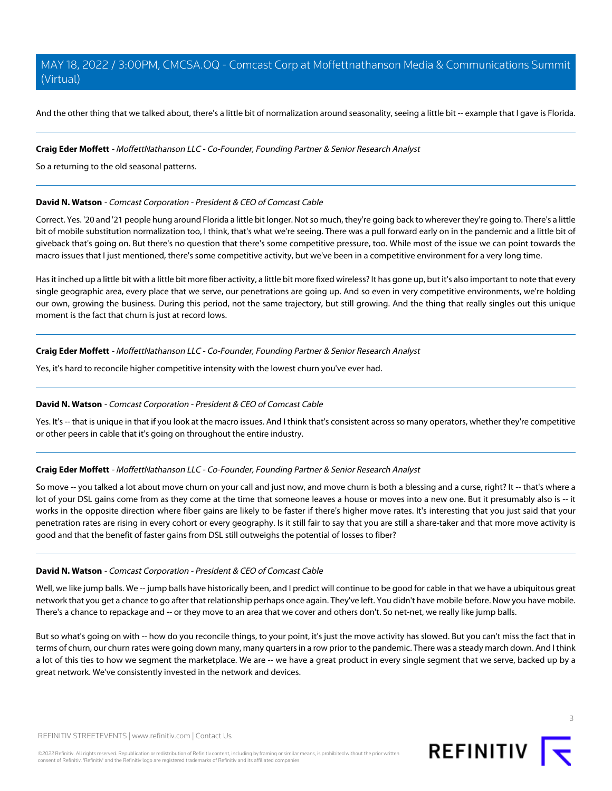And the other thing that we talked about, there's a little bit of normalization around seasonality, seeing a little bit -- example that I gave is Florida.

#### **Craig Eder Moffett** - MoffettNathanson LLC - Co-Founder, Founding Partner & Senior Research Analyst

So a returning to the old seasonal patterns.

## **David N. Watson** - Comcast Corporation - President & CEO of Comcast Cable

Correct. Yes. '20 and '21 people hung around Florida a little bit longer. Not so much, they're going back to wherever they're going to. There's a little bit of mobile substitution normalization too, I think, that's what we're seeing. There was a pull forward early on in the pandemic and a little bit of giveback that's going on. But there's no question that there's some competitive pressure, too. While most of the issue we can point towards the macro issues that I just mentioned, there's some competitive activity, but we've been in a competitive environment for a very long time.

Has it inched up a little bit with a little bit more fiber activity, a little bit more fixed wireless? It has gone up, but it's also important to note that every single geographic area, every place that we serve, our penetrations are going up. And so even in very competitive environments, we're holding our own, growing the business. During this period, not the same trajectory, but still growing. And the thing that really singles out this unique moment is the fact that churn is just at record lows.

# **Craig Eder Moffett** - MoffettNathanson LLC - Co-Founder, Founding Partner & Senior Research Analyst

Yes, it's hard to reconcile higher competitive intensity with the lowest churn you've ever had.

# **David N. Watson** - Comcast Corporation - President & CEO of Comcast Cable

Yes. It's -- that is unique in that if you look at the macro issues. And I think that's consistent across so many operators, whether they're competitive or other peers in cable that it's going on throughout the entire industry.

# **Craig Eder Moffett** - MoffettNathanson LLC - Co-Founder, Founding Partner & Senior Research Analyst

So move -- you talked a lot about move churn on your call and just now, and move churn is both a blessing and a curse, right? It -- that's where a lot of your DSL gains come from as they come at the time that someone leaves a house or moves into a new one. But it presumably also is -- it works in the opposite direction where fiber gains are likely to be faster if there's higher move rates. It's interesting that you just said that your penetration rates are rising in every cohort or every geography. Is it still fair to say that you are still a share-taker and that more move activity is good and that the benefit of faster gains from DSL still outweighs the potential of losses to fiber?

# **David N. Watson** - Comcast Corporation - President & CEO of Comcast Cable

Well, we like jump balls. We -- jump balls have historically been, and I predict will continue to be good for cable in that we have a ubiquitous great network that you get a chance to go after that relationship perhaps once again. They've left. You didn't have mobile before. Now you have mobile. There's a chance to repackage and -- or they move to an area that we cover and others don't. So net-net, we really like jump balls.

But so what's going on with -- how do you reconcile things, to your point, it's just the move activity has slowed. But you can't miss the fact that in terms of churn, our churn rates were going down many, many quarters in a row prior to the pandemic. There was a steady march down. And I think a lot of this ties to how we segment the marketplace. We are -- we have a great product in every single segment that we serve, backed up by a great network. We've consistently invested in the network and devices.

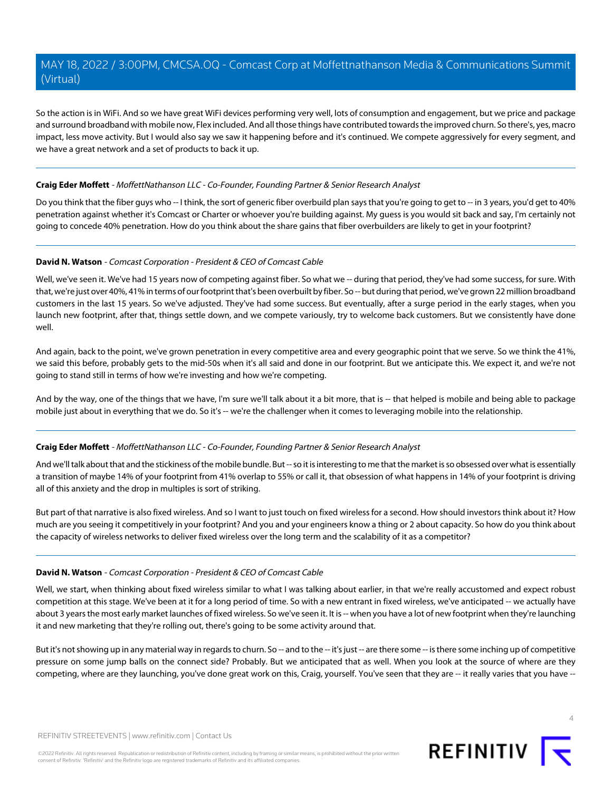So the action is in WiFi. And so we have great WiFi devices performing very well, lots of consumption and engagement, but we price and package and surround broadband with mobile now, Flex included. And all those things have contributed towards the improved churn. So there's, yes, macro impact, less move activity. But I would also say we saw it happening before and it's continued. We compete aggressively for every segment, and we have a great network and a set of products to back it up.

## **Craig Eder Moffett** - MoffettNathanson LLC - Co-Founder, Founding Partner & Senior Research Analyst

Do you think that the fiber guys who -- I think, the sort of generic fiber overbuild plan says that you're going to get to -- in 3 years, you'd get to 40% penetration against whether it's Comcast or Charter or whoever you're building against. My guess is you would sit back and say, I'm certainly not going to concede 40% penetration. How do you think about the share gains that fiber overbuilders are likely to get in your footprint?

#### **David N. Watson** - Comcast Corporation - President & CEO of Comcast Cable

Well, we've seen it. We've had 15 years now of competing against fiber. So what we -- during that period, they've had some success, for sure. With that, we're just over 40%, 41% in terms of our footprint that's been overbuilt by fiber. So -- but during that period, we've grown 22 million broadband customers in the last 15 years. So we've adjusted. They've had some success. But eventually, after a surge period in the early stages, when you launch new footprint, after that, things settle down, and we compete variously, try to welcome back customers. But we consistently have done well.

And again, back to the point, we've grown penetration in every competitive area and every geographic point that we serve. So we think the 41%, we said this before, probably gets to the mid-50s when it's all said and done in our footprint. But we anticipate this. We expect it, and we're not going to stand still in terms of how we're investing and how we're competing.

And by the way, one of the things that we have, I'm sure we'll talk about it a bit more, that is -- that helped is mobile and being able to package mobile just about in everything that we do. So it's -- we're the challenger when it comes to leveraging mobile into the relationship.

#### **Craig Eder Moffett** - MoffettNathanson LLC - Co-Founder, Founding Partner & Senior Research Analyst

And we'll talk about that and the stickiness of the mobile bundle. But -- so it is interesting to me that the market is so obsessed over what is essentially a transition of maybe 14% of your footprint from 41% overlap to 55% or call it, that obsession of what happens in 14% of your footprint is driving all of this anxiety and the drop in multiples is sort of striking.

But part of that narrative is also fixed wireless. And so I want to just touch on fixed wireless for a second. How should investors think about it? How much are you seeing it competitively in your footprint? And you and your engineers know a thing or 2 about capacity. So how do you think about the capacity of wireless networks to deliver fixed wireless over the long term and the scalability of it as a competitor?

# **David N. Watson** - Comcast Corporation - President & CEO of Comcast Cable

Well, we start, when thinking about fixed wireless similar to what I was talking about earlier, in that we're really accustomed and expect robust competition at this stage. We've been at it for a long period of time. So with a new entrant in fixed wireless, we've anticipated -- we actually have about 3 years the most early market launches of fixed wireless. So we've seen it. It is -- when you have a lot of new footprint when they're launching it and new marketing that they're rolling out, there's going to be some activity around that.

But it's not showing up in any material way in regards to churn. So -- and to the -- it's just -- are there some -- is there some inching up of competitive pressure on some jump balls on the connect side? Probably. But we anticipated that as well. When you look at the source of where are they competing, where are they launching, you've done great work on this, Craig, yourself. You've seen that they are -- it really varies that you have --

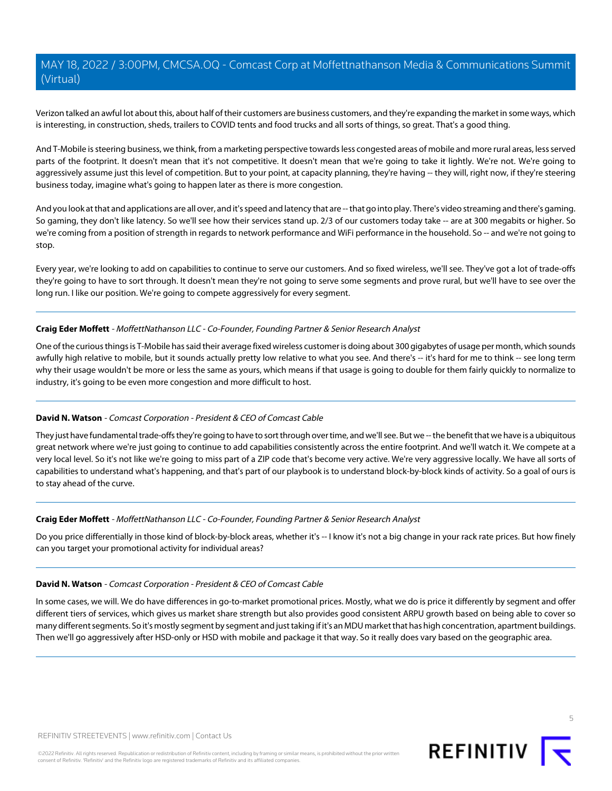Verizon talked an awful lot about this, about half of their customers are business customers, and they're expanding the market in some ways, which is interesting, in construction, sheds, trailers to COVID tents and food trucks and all sorts of things, so great. That's a good thing.

And T-Mobile is steering business, we think, from a marketing perspective towards less congested areas of mobile and more rural areas, less served parts of the footprint. It doesn't mean that it's not competitive. It doesn't mean that we're going to take it lightly. We're not. We're going to aggressively assume just this level of competition. But to your point, at capacity planning, they're having -- they will, right now, if they're steering business today, imagine what's going to happen later as there is more congestion.

And you look at that and applications are all over, and it's speed and latency that are -- that go into play. There's video streaming and there's gaming. So gaming, they don't like latency. So we'll see how their services stand up. 2/3 of our customers today take -- are at 300 megabits or higher. So we're coming from a position of strength in regards to network performance and WiFi performance in the household. So -- and we're not going to stop.

Every year, we're looking to add on capabilities to continue to serve our customers. And so fixed wireless, we'll see. They've got a lot of trade-offs they're going to have to sort through. It doesn't mean they're not going to serve some segments and prove rural, but we'll have to see over the long run. I like our position. We're going to compete aggressively for every segment.

#### **Craig Eder Moffett** - MoffettNathanson LLC - Co-Founder, Founding Partner & Senior Research Analyst

One of the curious things is T-Mobile has said their average fixed wireless customer is doing about 300 gigabytes of usage per month, which sounds awfully high relative to mobile, but it sounds actually pretty low relative to what you see. And there's -- it's hard for me to think -- see long term why their usage wouldn't be more or less the same as yours, which means if that usage is going to double for them fairly quickly to normalize to industry, it's going to be even more congestion and more difficult to host.

# **David N. Watson** - Comcast Corporation - President & CEO of Comcast Cable

They just have fundamental trade-offs they're going to have to sort through over time, and we'll see. But we -- the benefit that we have is a ubiquitous great network where we're just going to continue to add capabilities consistently across the entire footprint. And we'll watch it. We compete at a very local level. So it's not like we're going to miss part of a ZIP code that's become very active. We're very aggressive locally. We have all sorts of capabilities to understand what's happening, and that's part of our playbook is to understand block-by-block kinds of activity. So a goal of ours is to stay ahead of the curve.

# **Craig Eder Moffett** - MoffettNathanson LLC - Co-Founder, Founding Partner & Senior Research Analyst

Do you price differentially in those kind of block-by-block areas, whether it's -- I know it's not a big change in your rack rate prices. But how finely can you target your promotional activity for individual areas?

#### **David N. Watson** - Comcast Corporation - President & CEO of Comcast Cable

In some cases, we will. We do have differences in go-to-market promotional prices. Mostly, what we do is price it differently by segment and offer different tiers of services, which gives us market share strength but also provides good consistent ARPU growth based on being able to cover so many different segments. So it's mostly segment by segment and just taking if it's an MDU market that has high concentration, apartment buildings. Then we'll go aggressively after HSD-only or HSD with mobile and package it that way. So it really does vary based on the geographic area.



5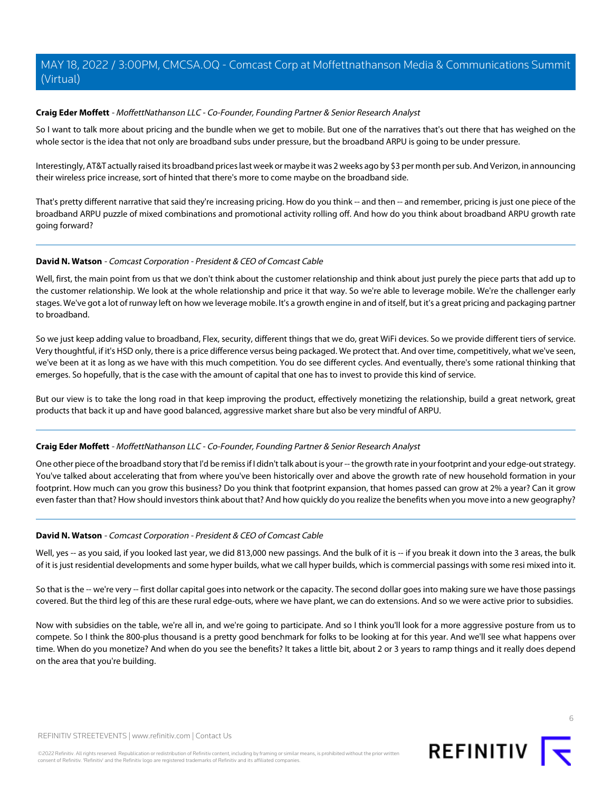# **Craig Eder Moffett** - MoffettNathanson LLC - Co-Founder, Founding Partner & Senior Research Analyst

So I want to talk more about pricing and the bundle when we get to mobile. But one of the narratives that's out there that has weighed on the whole sector is the idea that not only are broadband subs under pressure, but the broadband ARPU is going to be under pressure.

Interestingly, AT&T actually raised its broadband prices last week or maybe it was 2 weeks ago by \$3 per month per sub. And Verizon, in announcing their wireless price increase, sort of hinted that there's more to come maybe on the broadband side.

That's pretty different narrative that said they're increasing pricing. How do you think -- and then -- and remember, pricing is just one piece of the broadband ARPU puzzle of mixed combinations and promotional activity rolling off. And how do you think about broadband ARPU growth rate going forward?

# **David N. Watson** - Comcast Corporation - President & CEO of Comcast Cable

Well, first, the main point from us that we don't think about the customer relationship and think about just purely the piece parts that add up to the customer relationship. We look at the whole relationship and price it that way. So we're able to leverage mobile. We're the challenger early stages. We've got a lot of runway left on how we leverage mobile. It's a growth engine in and of itself, but it's a great pricing and packaging partner to broadband.

So we just keep adding value to broadband, Flex, security, different things that we do, great WiFi devices. So we provide different tiers of service. Very thoughtful, if it's HSD only, there is a price difference versus being packaged. We protect that. And over time, competitively, what we've seen, we've been at it as long as we have with this much competition. You do see different cycles. And eventually, there's some rational thinking that emerges. So hopefully, that is the case with the amount of capital that one has to invest to provide this kind of service.

But our view is to take the long road in that keep improving the product, effectively monetizing the relationship, build a great network, great products that back it up and have good balanced, aggressive market share but also be very mindful of ARPU.

# **Craig Eder Moffett** - MoffettNathanson LLC - Co-Founder, Founding Partner & Senior Research Analyst

One other piece of the broadband story that I'd be remiss if I didn't talk about is your -- the growth rate in your footprint and your edge-out strategy. You've talked about accelerating that from where you've been historically over and above the growth rate of new household formation in your footprint. How much can you grow this business? Do you think that footprint expansion, that homes passed can grow at 2% a year? Can it grow even faster than that? How should investors think about that? And how quickly do you realize the benefits when you move into a new geography?

# **David N. Watson** - Comcast Corporation - President & CEO of Comcast Cable

Well, yes -- as you said, if you looked last year, we did 813,000 new passings. And the bulk of it is -- if you break it down into the 3 areas, the bulk of it is just residential developments and some hyper builds, what we call hyper builds, which is commercial passings with some resi mixed into it.

So that is the -- we're very -- first dollar capital goes into network or the capacity. The second dollar goes into making sure we have those passings covered. But the third leg of this are these rural edge-outs, where we have plant, we can do extensions. And so we were active prior to subsidies.

Now with subsidies on the table, we're all in, and we're going to participate. And so I think you'll look for a more aggressive posture from us to compete. So I think the 800-plus thousand is a pretty good benchmark for folks to be looking at for this year. And we'll see what happens over time. When do you monetize? And when do you see the benefits? It takes a little bit, about 2 or 3 years to ramp things and it really does depend on the area that you're building.



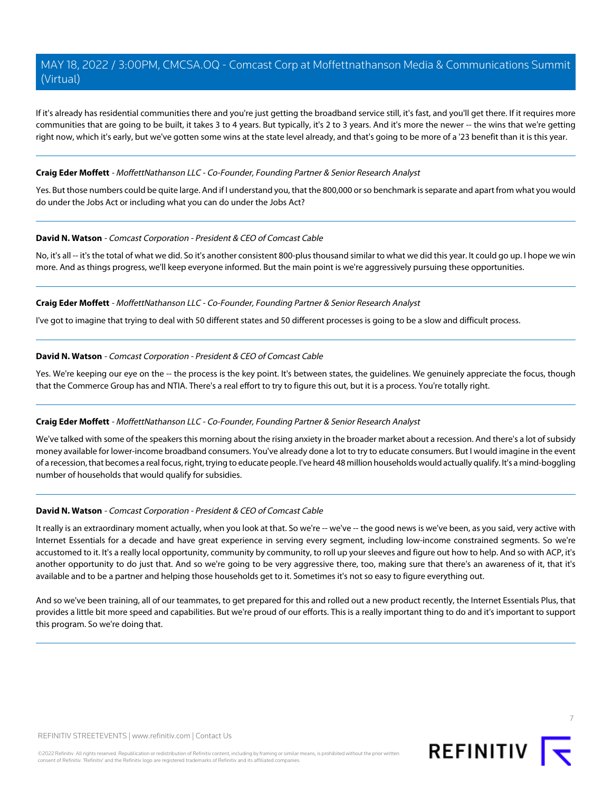If it's already has residential communities there and you're just getting the broadband service still, it's fast, and you'll get there. If it requires more communities that are going to be built, it takes 3 to 4 years. But typically, it's 2 to 3 years. And it's more the newer -- the wins that we're getting right now, which it's early, but we've gotten some wins at the state level already, and that's going to be more of a '23 benefit than it is this year.

#### **Craig Eder Moffett** - MoffettNathanson LLC - Co-Founder, Founding Partner & Senior Research Analyst

Yes. But those numbers could be quite large. And if I understand you, that the 800,000 or so benchmark is separate and apart from what you would do under the Jobs Act or including what you can do under the Jobs Act?

#### **David N. Watson** - Comcast Corporation - President & CEO of Comcast Cable

No, it's all -- it's the total of what we did. So it's another consistent 800-plus thousand similar to what we did this year. It could go up. I hope we win more. And as things progress, we'll keep everyone informed. But the main point is we're aggressively pursuing these opportunities.

# **Craig Eder Moffett** - MoffettNathanson LLC - Co-Founder, Founding Partner & Senior Research Analyst

I've got to imagine that trying to deal with 50 different states and 50 different processes is going to be a slow and difficult process.

#### **David N. Watson** - Comcast Corporation - President & CEO of Comcast Cable

Yes. We're keeping our eye on the -- the process is the key point. It's between states, the guidelines. We genuinely appreciate the focus, though that the Commerce Group has and NTIA. There's a real effort to try to figure this out, but it is a process. You're totally right.

#### **Craig Eder Moffett** - MoffettNathanson LLC - Co-Founder, Founding Partner & Senior Research Analyst

We've talked with some of the speakers this morning about the rising anxiety in the broader market about a recession. And there's a lot of subsidy money available for lower-income broadband consumers. You've already done a lot to try to educate consumers. But I would imagine in the event of a recession, that becomes a real focus, right, trying to educate people. I've heard 48 million households would actually qualify. It's a mind-boggling number of households that would qualify for subsidies.

#### **David N. Watson** - Comcast Corporation - President & CEO of Comcast Cable

It really is an extraordinary moment actually, when you look at that. So we're -- we've -- the good news is we've been, as you said, very active with Internet Essentials for a decade and have great experience in serving every segment, including low-income constrained segments. So we're accustomed to it. It's a really local opportunity, community by community, to roll up your sleeves and figure out how to help. And so with ACP, it's another opportunity to do just that. And so we're going to be very aggressive there, too, making sure that there's an awareness of it, that it's available and to be a partner and helping those households get to it. Sometimes it's not so easy to figure everything out.

And so we've been training, all of our teammates, to get prepared for this and rolled out a new product recently, the Internet Essentials Plus, that provides a little bit more speed and capabilities. But we're proud of our efforts. This is a really important thing to do and it's important to support this program. So we're doing that.

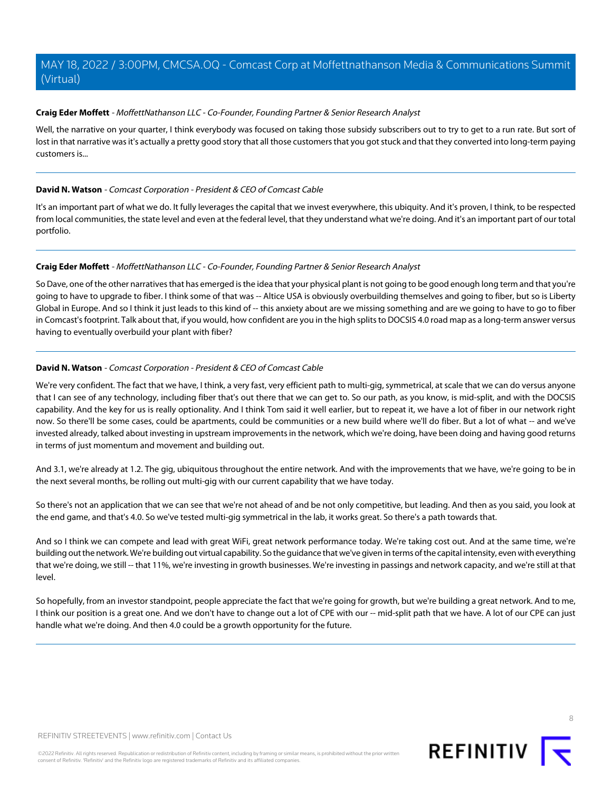## **Craig Eder Moffett** - MoffettNathanson LLC - Co-Founder, Founding Partner & Senior Research Analyst

Well, the narrative on your quarter, I think everybody was focused on taking those subsidy subscribers out to try to get to a run rate. But sort of lost in that narrative was it's actually a pretty good story that all those customers that you got stuck and that they converted into long-term paying customers is...

#### **David N. Watson** - Comcast Corporation - President & CEO of Comcast Cable

It's an important part of what we do. It fully leverages the capital that we invest everywhere, this ubiquity. And it's proven, I think, to be respected from local communities, the state level and even at the federal level, that they understand what we're doing. And it's an important part of our total portfolio.

#### **Craig Eder Moffett** - MoffettNathanson LLC - Co-Founder, Founding Partner & Senior Research Analyst

So Dave, one of the other narratives that has emerged is the idea that your physical plant is not going to be good enough long term and that you're going to have to upgrade to fiber. I think some of that was -- Altice USA is obviously overbuilding themselves and going to fiber, but so is Liberty Global in Europe. And so I think it just leads to this kind of -- this anxiety about are we missing something and are we going to have to go to fiber in Comcast's footprint. Talk about that, if you would, how confident are you in the high splits to DOCSIS 4.0 road map as a long-term answer versus having to eventually overbuild your plant with fiber?

#### **David N. Watson** - Comcast Corporation - President & CEO of Comcast Cable

We're very confident. The fact that we have, I think, a very fast, very efficient path to multi-gig, symmetrical, at scale that we can do versus anyone that I can see of any technology, including fiber that's out there that we can get to. So our path, as you know, is mid-split, and with the DOCSIS capability. And the key for us is really optionality. And I think Tom said it well earlier, but to repeat it, we have a lot of fiber in our network right now. So there'll be some cases, could be apartments, could be communities or a new build where we'll do fiber. But a lot of what -- and we've invested already, talked about investing in upstream improvements in the network, which we're doing, have been doing and having good returns in terms of just momentum and movement and building out.

And 3.1, we're already at 1.2. The gig, ubiquitous throughout the entire network. And with the improvements that we have, we're going to be in the next several months, be rolling out multi-gig with our current capability that we have today.

So there's not an application that we can see that we're not ahead of and be not only competitive, but leading. And then as you said, you look at the end game, and that's 4.0. So we've tested multi-gig symmetrical in the lab, it works great. So there's a path towards that.

And so I think we can compete and lead with great WiFi, great network performance today. We're taking cost out. And at the same time, we're building out the network. We're building out virtual capability. So the guidance that we've given in terms of the capital intensity, even with everything that we're doing, we still -- that 11%, we're investing in growth businesses. We're investing in passings and network capacity, and we're still at that level.

So hopefully, from an investor standpoint, people appreciate the fact that we're going for growth, but we're building a great network. And to me, I think our position is a great one. And we don't have to change out a lot of CPE with our -- mid-split path that we have. A lot of our CPE can just handle what we're doing. And then 4.0 could be a growth opportunity for the future.



8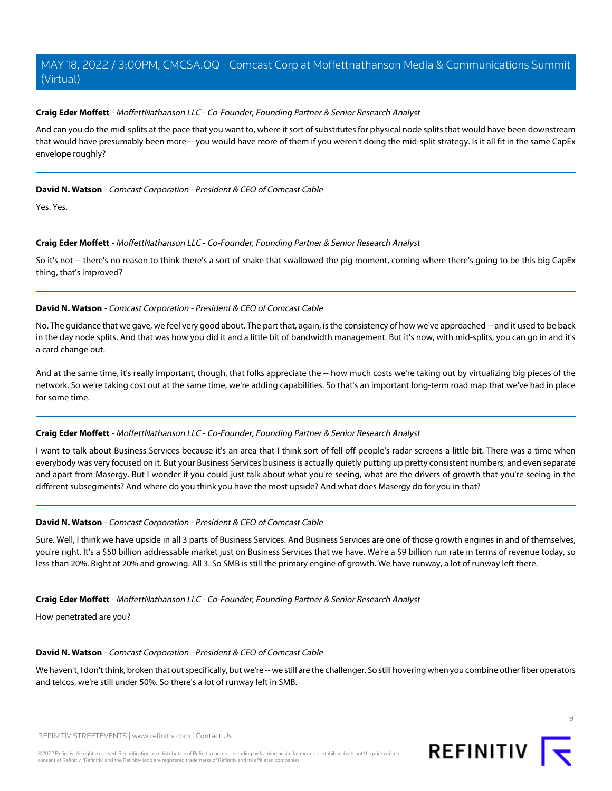## **Craig Eder Moffett** - MoffettNathanson LLC - Co-Founder, Founding Partner & Senior Research Analyst

And can you do the mid-splits at the pace that you want to, where it sort of substitutes for physical node splits that would have been downstream that would have presumably been more -- you would have more of them if you weren't doing the mid-split strategy. Is it all fit in the same CapEx envelope roughly?

#### **David N. Watson** - Comcast Corporation - President & CEO of Comcast Cable

Yes. Yes.

# **Craig Eder Moffett** - MoffettNathanson LLC - Co-Founder, Founding Partner & Senior Research Analyst

So it's not -- there's no reason to think there's a sort of snake that swallowed the pig moment, coming where there's going to be this big CapEx thing, that's improved?

# **David N. Watson** - Comcast Corporation - President & CEO of Comcast Cable

No. The guidance that we gave, we feel very good about. The part that, again, is the consistency of how we've approached -- and it used to be back in the day node splits. And that was how you did it and a little bit of bandwidth management. But it's now, with mid-splits, you can go in and it's a card change out.

And at the same time, it's really important, though, that folks appreciate the -- how much costs we're taking out by virtualizing big pieces of the network. So we're taking cost out at the same time, we're adding capabilities. So that's an important long-term road map that we've had in place for some time.

#### **Craig Eder Moffett** - MoffettNathanson LLC - Co-Founder, Founding Partner & Senior Research Analyst

I want to talk about Business Services because it's an area that I think sort of fell off people's radar screens a little bit. There was a time when everybody was very focused on it. But your Business Services business is actually quietly putting up pretty consistent numbers, and even separate and apart from Masergy. But I wonder if you could just talk about what you're seeing, what are the drivers of growth that you're seeing in the different subsegments? And where do you think you have the most upside? And what does Masergy do for you in that?

# **David N. Watson** - Comcast Corporation - President & CEO of Comcast Cable

Sure. Well, I think we have upside in all 3 parts of Business Services. And Business Services are one of those growth engines in and of themselves, you're right. It's a \$50 billion addressable market just on Business Services that we have. We're a \$9 billion run rate in terms of revenue today, so less than 20%. Right at 20% and growing. All 3. So SMB is still the primary engine of growth. We have runway, a lot of runway left there.

#### **Craig Eder Moffett** - MoffettNathanson LLC - Co-Founder, Founding Partner & Senior Research Analyst

How penetrated are you?

#### **David N. Watson** - Comcast Corporation - President & CEO of Comcast Cable

We haven't, I don't think, broken that out specifically, but we're -- we still are the challenger. So still hovering when you combine other fiber operators and telcos, we're still under 50%. So there's a lot of runway left in SMB.

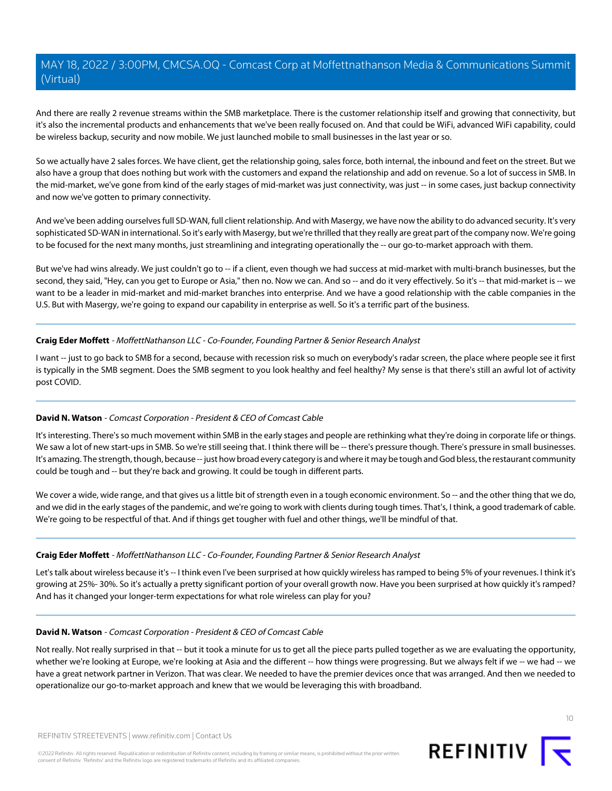And there are really 2 revenue streams within the SMB marketplace. There is the customer relationship itself and growing that connectivity, but it's also the incremental products and enhancements that we've been really focused on. And that could be WiFi, advanced WiFi capability, could be wireless backup, security and now mobile. We just launched mobile to small businesses in the last year or so.

So we actually have 2 sales forces. We have client, get the relationship going, sales force, both internal, the inbound and feet on the street. But we also have a group that does nothing but work with the customers and expand the relationship and add on revenue. So a lot of success in SMB. In the mid-market, we've gone from kind of the early stages of mid-market was just connectivity, was just -- in some cases, just backup connectivity and now we've gotten to primary connectivity.

And we've been adding ourselves full SD-WAN, full client relationship. And with Masergy, we have now the ability to do advanced security. It's very sophisticated SD-WAN in international. So it's early with Masergy, but we're thrilled that they really are great part of the company now. We're going to be focused for the next many months, just streamlining and integrating operationally the -- our go-to-market approach with them.

But we've had wins already. We just couldn't go to -- if a client, even though we had success at mid-market with multi-branch businesses, but the second, they said, "Hey, can you get to Europe or Asia," then no. Now we can. And so -- and do it very effectively. So it's -- that mid-market is -- we want to be a leader in mid-market and mid-market branches into enterprise. And we have a good relationship with the cable companies in the U.S. But with Masergy, we're going to expand our capability in enterprise as well. So it's a terrific part of the business.

# **Craig Eder Moffett** - MoffettNathanson LLC - Co-Founder, Founding Partner & Senior Research Analyst

I want -- just to go back to SMB for a second, because with recession risk so much on everybody's radar screen, the place where people see it first is typically in the SMB segment. Does the SMB segment to you look healthy and feel healthy? My sense is that there's still an awful lot of activity post COVID.

# **David N. Watson** - Comcast Corporation - President & CEO of Comcast Cable

It's interesting. There's so much movement within SMB in the early stages and people are rethinking what they're doing in corporate life or things. We saw a lot of new start-ups in SMB. So we're still seeing that. I think there will be -- there's pressure though. There's pressure in small businesses. It's amazing. The strength, though, because -- just how broad every category is and where it may be tough and God bless, the restaurant community could be tough and -- but they're back and growing. It could be tough in different parts.

We cover a wide, wide range, and that gives us a little bit of strength even in a tough economic environment. So -- and the other thing that we do, and we did in the early stages of the pandemic, and we're going to work with clients during tough times. That's, I think, a good trademark of cable. We're going to be respectful of that. And if things get tougher with fuel and other things, we'll be mindful of that.

# **Craig Eder Moffett** - MoffettNathanson LLC - Co-Founder, Founding Partner & Senior Research Analyst

Let's talk about wireless because it's -- I think even I've been surprised at how quickly wireless has ramped to being 5% of your revenues. I think it's growing at 25%- 30%. So it's actually a pretty significant portion of your overall growth now. Have you been surprised at how quickly it's ramped? And has it changed your longer-term expectations for what role wireless can play for you?

# **David N. Watson** - Comcast Corporation - President & CEO of Comcast Cable

Not really. Not really surprised in that -- but it took a minute for us to get all the piece parts pulled together as we are evaluating the opportunity, whether we're looking at Europe, we're looking at Asia and the different -- how things were progressing. But we always felt if we -- we had -- we have a great network partner in Verizon. That was clear. We needed to have the premier devices once that was arranged. And then we needed to operationalize our go-to-market approach and knew that we would be leveraging this with broadband.

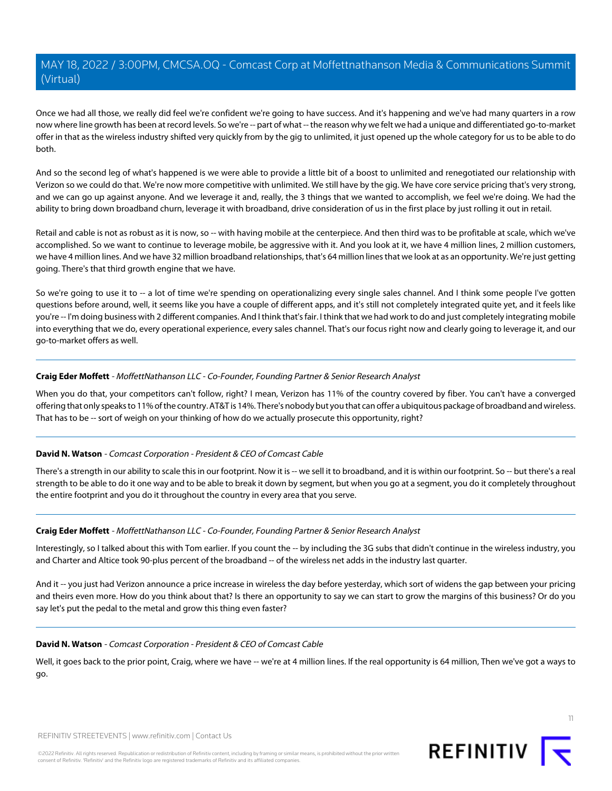Once we had all those, we really did feel we're confident we're going to have success. And it's happening and we've had many quarters in a row now where line growth has been at record levels. So we're -- part of what -- the reason why we felt we had a unique and differentiated go-to-market offer in that as the wireless industry shifted very quickly from by the gig to unlimited, it just opened up the whole category for us to be able to do both.

And so the second leg of what's happened is we were able to provide a little bit of a boost to unlimited and renegotiated our relationship with Verizon so we could do that. We're now more competitive with unlimited. We still have by the gig. We have core service pricing that's very strong, and we can go up against anyone. And we leverage it and, really, the 3 things that we wanted to accomplish, we feel we're doing. We had the ability to bring down broadband churn, leverage it with broadband, drive consideration of us in the first place by just rolling it out in retail.

Retail and cable is not as robust as it is now, so -- with having mobile at the centerpiece. And then third was to be profitable at scale, which we've accomplished. So we want to continue to leverage mobile, be aggressive with it. And you look at it, we have 4 million lines, 2 million customers, we have 4 million lines. And we have 32 million broadband relationships, that's 64 million lines that we look at as an opportunity. We're just getting going. There's that third growth engine that we have.

So we're going to use it to -- a lot of time we're spending on operationalizing every single sales channel. And I think some people I've gotten questions before around, well, it seems like you have a couple of different apps, and it's still not completely integrated quite yet, and it feels like you're -- I'm doing business with 2 different companies. And I think that's fair. I think that we had work to do and just completely integrating mobile into everything that we do, every operational experience, every sales channel. That's our focus right now and clearly going to leverage it, and our go-to-market offers as well.

# **Craig Eder Moffett** - MoffettNathanson LLC - Co-Founder, Founding Partner & Senior Research Analyst

When you do that, your competitors can't follow, right? I mean, Verizon has 11% of the country covered by fiber. You can't have a converged offering that only speaks to 11% of the country. AT&T is 14%. There's nobody but you that can offer a ubiquitous package of broadband and wireless. That has to be -- sort of weigh on your thinking of how do we actually prosecute this opportunity, right?

# **David N. Watson** - Comcast Corporation - President & CEO of Comcast Cable

There's a strength in our ability to scale this in our footprint. Now it is -- we sell it to broadband, and it is within our footprint. So -- but there's a real strength to be able to do it one way and to be able to break it down by segment, but when you go at a segment, you do it completely throughout the entire footprint and you do it throughout the country in every area that you serve.

# **Craig Eder Moffett** - MoffettNathanson LLC - Co-Founder, Founding Partner & Senior Research Analyst

Interestingly, so I talked about this with Tom earlier. If you count the -- by including the 3G subs that didn't continue in the wireless industry, you and Charter and Altice took 90-plus percent of the broadband -- of the wireless net adds in the industry last quarter.

And it -- you just had Verizon announce a price increase in wireless the day before yesterday, which sort of widens the gap between your pricing and theirs even more. How do you think about that? Is there an opportunity to say we can start to grow the margins of this business? Or do you say let's put the pedal to the metal and grow this thing even faster?

# **David N. Watson** - Comcast Corporation - President & CEO of Comcast Cable

Well, it goes back to the prior point, Craig, where we have -- we're at 4 million lines. If the real opportunity is 64 million, Then we've got a ways to go.

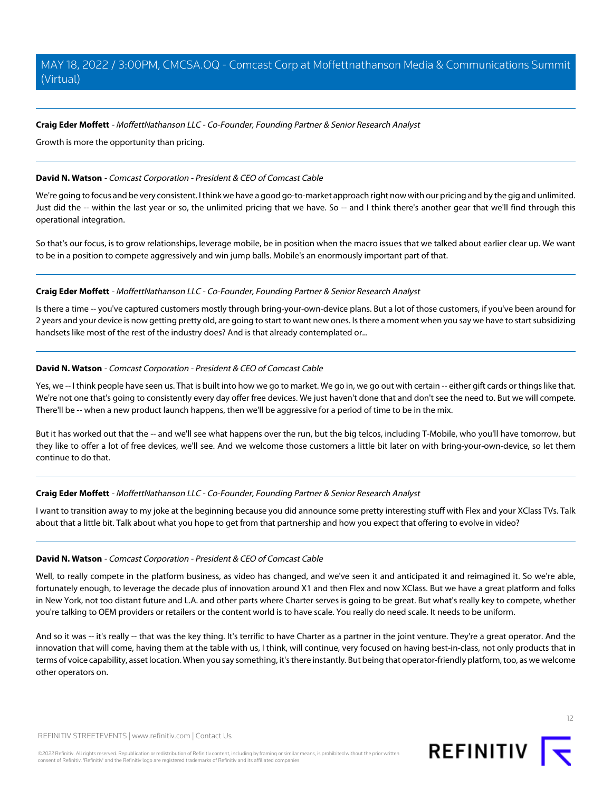#### **Craig Eder Moffett** - MoffettNathanson LLC - Co-Founder, Founding Partner & Senior Research Analyst

Growth is more the opportunity than pricing.

#### **David N. Watson** - Comcast Corporation - President & CEO of Comcast Cable

We're going to focus and be very consistent. I think we have a good go-to-market approach right now with our pricing and by the gig and unlimited. Just did the -- within the last year or so, the unlimited pricing that we have. So -- and I think there's another gear that we'll find through this operational integration.

So that's our focus, is to grow relationships, leverage mobile, be in position when the macro issues that we talked about earlier clear up. We want to be in a position to compete aggressively and win jump balls. Mobile's an enormously important part of that.

#### **Craig Eder Moffett** - MoffettNathanson LLC - Co-Founder, Founding Partner & Senior Research Analyst

Is there a time -- you've captured customers mostly through bring-your-own-device plans. But a lot of those customers, if you've been around for 2 years and your device is now getting pretty old, are going to start to want new ones. Is there a moment when you say we have to start subsidizing handsets like most of the rest of the industry does? And is that already contemplated or...

#### **David N. Watson** - Comcast Corporation - President & CEO of Comcast Cable

Yes, we -- I think people have seen us. That is built into how we go to market. We go in, we go out with certain -- either gift cards or things like that. We're not one that's going to consistently every day offer free devices. We just haven't done that and don't see the need to. But we will compete. There'll be -- when a new product launch happens, then we'll be aggressive for a period of time to be in the mix.

But it has worked out that the -- and we'll see what happens over the run, but the big telcos, including T-Mobile, who you'll have tomorrow, but they like to offer a lot of free devices, we'll see. And we welcome those customers a little bit later on with bring-your-own-device, so let them continue to do that.

#### **Craig Eder Moffett** - MoffettNathanson LLC - Co-Founder, Founding Partner & Senior Research Analyst

I want to transition away to my joke at the beginning because you did announce some pretty interesting stuff with Flex and your XClass TVs. Talk about that a little bit. Talk about what you hope to get from that partnership and how you expect that offering to evolve in video?

#### **David N. Watson** - Comcast Corporation - President & CEO of Comcast Cable

Well, to really compete in the platform business, as video has changed, and we've seen it and anticipated it and reimagined it. So we're able, fortunately enough, to leverage the decade plus of innovation around X1 and then Flex and now XClass. But we have a great platform and folks in New York, not too distant future and L.A. and other parts where Charter serves is going to be great. But what's really key to compete, whether you're talking to OEM providers or retailers or the content world is to have scale. You really do need scale. It needs to be uniform.

And so it was -- it's really -- that was the key thing. It's terrific to have Charter as a partner in the joint venture. They're a great operator. And the innovation that will come, having them at the table with us, I think, will continue, very focused on having best-in-class, not only products that in terms of voice capability, asset location. When you say something, it's there instantly. But being that operator-friendly platform, too, as we welcome other operators on.

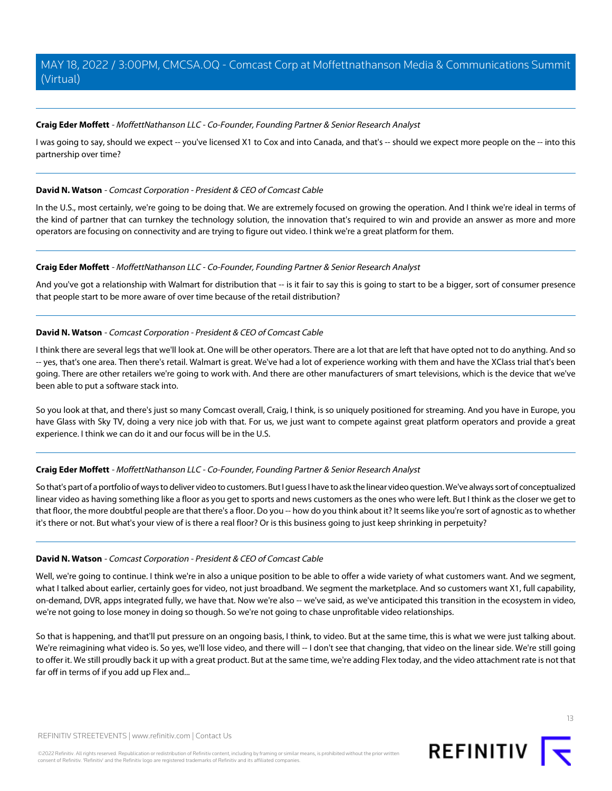## **Craig Eder Moffett** - MoffettNathanson LLC - Co-Founder, Founding Partner & Senior Research Analyst

I was going to say, should we expect -- you've licensed X1 to Cox and into Canada, and that's -- should we expect more people on the -- into this partnership over time?

#### **David N. Watson** - Comcast Corporation - President & CEO of Comcast Cable

In the U.S., most certainly, we're going to be doing that. We are extremely focused on growing the operation. And I think we're ideal in terms of the kind of partner that can turnkey the technology solution, the innovation that's required to win and provide an answer as more and more operators are focusing on connectivity and are trying to figure out video. I think we're a great platform for them.

#### **Craig Eder Moffett** - MoffettNathanson LLC - Co-Founder, Founding Partner & Senior Research Analyst

And you've got a relationship with Walmart for distribution that -- is it fair to say this is going to start to be a bigger, sort of consumer presence that people start to be more aware of over time because of the retail distribution?

# **David N. Watson** - Comcast Corporation - President & CEO of Comcast Cable

I think there are several legs that we'll look at. One will be other operators. There are a lot that are left that have opted not to do anything. And so -- yes, that's one area. Then there's retail. Walmart is great. We've had a lot of experience working with them and have the XClass trial that's been going. There are other retailers we're going to work with. And there are other manufacturers of smart televisions, which is the device that we've been able to put a software stack into.

So you look at that, and there's just so many Comcast overall, Craig, I think, is so uniquely positioned for streaming. And you have in Europe, you have Glass with Sky TV, doing a very nice job with that. For us, we just want to compete against great platform operators and provide a great experience. I think we can do it and our focus will be in the U.S.

# **Craig Eder Moffett** - MoffettNathanson LLC - Co-Founder, Founding Partner & Senior Research Analyst

So that's part of a portfolio of ways to deliver video to customers. But I guess I have to ask the linear video question. We've always sort of conceptualized linear video as having something like a floor as you get to sports and news customers as the ones who were left. But I think as the closer we get to that floor, the more doubtful people are that there's a floor. Do you -- how do you think about it? It seems like you're sort of agnostic as to whether it's there or not. But what's your view of is there a real floor? Or is this business going to just keep shrinking in perpetuity?

#### **David N. Watson** - Comcast Corporation - President & CEO of Comcast Cable

Well, we're going to continue. I think we're in also a unique position to be able to offer a wide variety of what customers want. And we segment, what I talked about earlier, certainly goes for video, not just broadband. We segment the marketplace. And so customers want X1, full capability, on-demand, DVR, apps integrated fully, we have that. Now we're also -- we've said, as we've anticipated this transition in the ecosystem in video, we're not going to lose money in doing so though. So we're not going to chase unprofitable video relationships.

So that is happening, and that'll put pressure on an ongoing basis, I think, to video. But at the same time, this is what we were just talking about. We're reimagining what video is. So yes, we'll lose video, and there will -- I don't see that changing, that video on the linear side. We're still going to offer it. We still proudly back it up with a great product. But at the same time, we're adding Flex today, and the video attachment rate is not that far off in terms of if you add up Flex and...

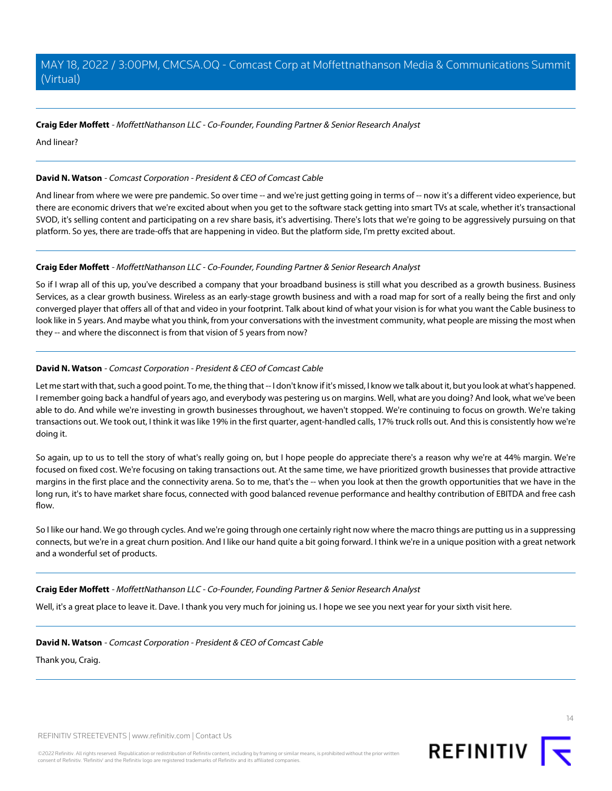## **Craig Eder Moffett** - MoffettNathanson LLC - Co-Founder, Founding Partner & Senior Research Analyst

And linear?

## **David N. Watson** - Comcast Corporation - President & CEO of Comcast Cable

And linear from where we were pre pandemic. So over time -- and we're just getting going in terms of -- now it's a different video experience, but there are economic drivers that we're excited about when you get to the software stack getting into smart TVs at scale, whether it's transactional SVOD, it's selling content and participating on a rev share basis, it's advertising. There's lots that we're going to be aggressively pursuing on that platform. So yes, there are trade-offs that are happening in video. But the platform side, I'm pretty excited about.

#### **Craig Eder Moffett** - MoffettNathanson LLC - Co-Founder, Founding Partner & Senior Research Analyst

So if I wrap all of this up, you've described a company that your broadband business is still what you described as a growth business. Business Services, as a clear growth business. Wireless as an early-stage growth business and with a road map for sort of a really being the first and only converged player that offers all of that and video in your footprint. Talk about kind of what your vision is for what you want the Cable business to look like in 5 years. And maybe what you think, from your conversations with the investment community, what people are missing the most when they -- and where the disconnect is from that vision of 5 years from now?

# **David N. Watson** - Comcast Corporation - President & CEO of Comcast Cable

Let me start with that, such a good point. To me, the thing that -- I don't know if it's missed, I know we talk about it, but you look at what's happened. I remember going back a handful of years ago, and everybody was pestering us on margins. Well, what are you doing? And look, what we've been able to do. And while we're investing in growth businesses throughout, we haven't stopped. We're continuing to focus on growth. We're taking transactions out. We took out, I think it was like 19% in the first quarter, agent-handled calls, 17% truck rolls out. And this is consistently how we're doing it.

So again, up to us to tell the story of what's really going on, but I hope people do appreciate there's a reason why we're at 44% margin. We're focused on fixed cost. We're focusing on taking transactions out. At the same time, we have prioritized growth businesses that provide attractive margins in the first place and the connectivity arena. So to me, that's the -- when you look at then the growth opportunities that we have in the long run, it's to have market share focus, connected with good balanced revenue performance and healthy contribution of EBITDA and free cash flow.

So I like our hand. We go through cycles. And we're going through one certainly right now where the macro things are putting us in a suppressing connects, but we're in a great churn position. And I like our hand quite a bit going forward. I think we're in a unique position with a great network and a wonderful set of products.

#### **Craig Eder Moffett** - MoffettNathanson LLC - Co-Founder, Founding Partner & Senior Research Analyst

Well, it's a great place to leave it. Dave. I thank you very much for joining us. I hope we see you next year for your sixth visit here.

#### **David N. Watson** - Comcast Corporation - President & CEO of Comcast Cable

Thank you, Craig.